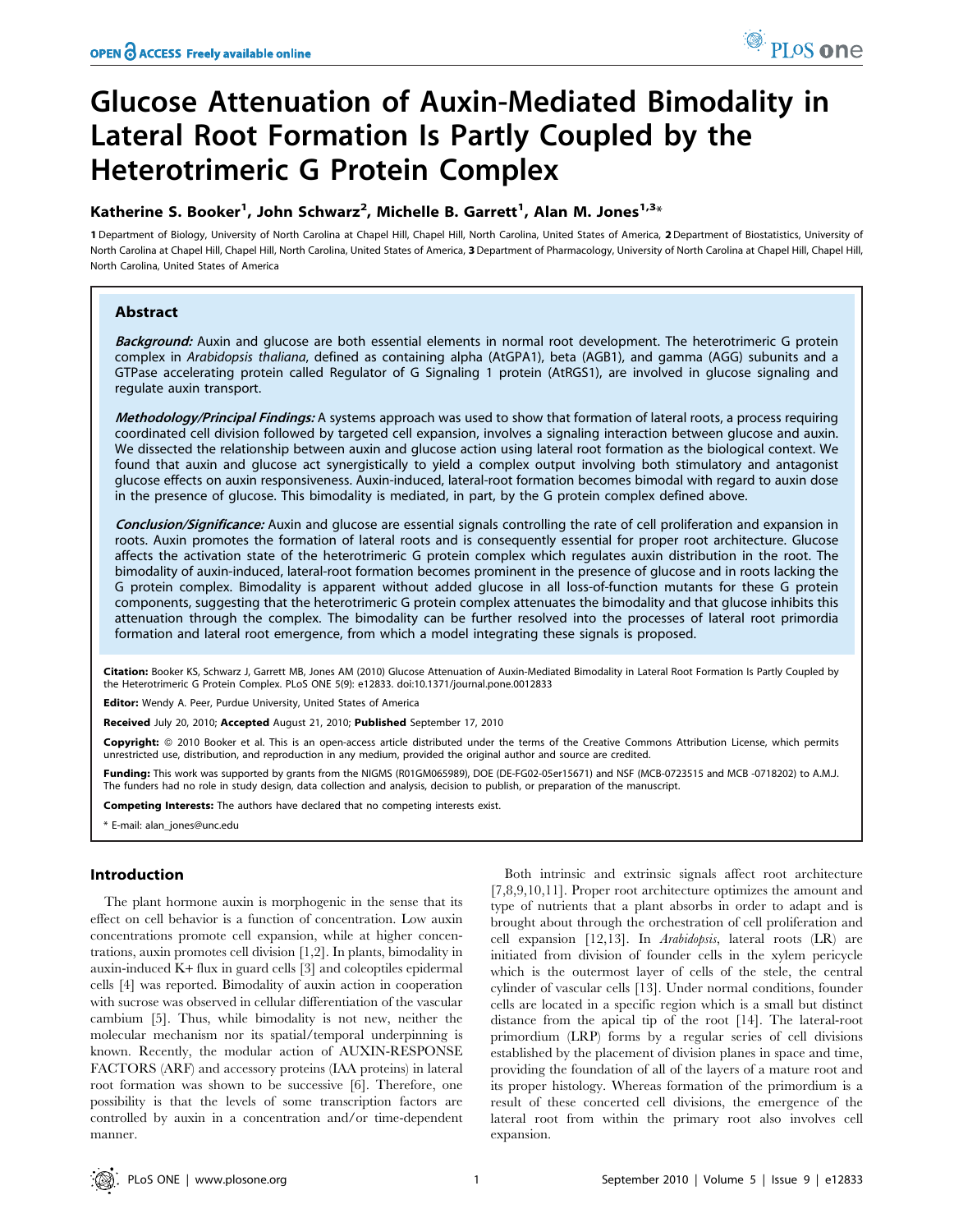# Glucose Attenuation of Auxin-Mediated Bimodality in Lateral Root Formation Is Partly Coupled by the Heterotrimeric G Protein Complex

# Katherine S. Booker<sup>1</sup>, John Schwarz<sup>2</sup>, Michelle B. Garrett<sup>1</sup>, Alan M. Jones<sup>1,3</sup>\*

1 Department of Biology, University of North Carolina at Chapel Hill, Chapel Hill, North Carolina, United States of America, 2 Department of Biostatistics, University of North Carolina at Chapel Hill, Chapel Hill, North Carolina, United States of America, 3 Department of Pharmacology, University of North Carolina at Chapel Hill, Chapel Hill, Chapel Hill, North Carolina, United States of America

# Abstract

Background: Auxin and glucose are both essential elements in normal root development. The heterotrimeric G protein complex in Arabidopsis thaliana, defined as containing alpha (AtGPA1), beta (AGB1), and gamma (AGG) subunits and a GTPase accelerating protein called Regulator of G Signaling 1 protein (AtRGS1), are involved in glucose signaling and regulate auxin transport.

Methodology/Principal Findings: A systems approach was used to show that formation of lateral roots, a process requiring coordinated cell division followed by targeted cell expansion, involves a signaling interaction between glucose and auxin. We dissected the relationship between auxin and glucose action using lateral root formation as the biological context. We found that auxin and glucose act synergistically to yield a complex output involving both stimulatory and antagonist glucose effects on auxin responsiveness. Auxin-induced, lateral-root formation becomes bimodal with regard to auxin dose in the presence of glucose. This bimodality is mediated, in part, by the G protein complex defined above.

Conclusion/Significance: Auxin and glucose are essential signals controlling the rate of cell proliferation and expansion in roots. Auxin promotes the formation of lateral roots and is consequently essential for proper root architecture. Glucose affects the activation state of the heterotrimeric G protein complex which regulates auxin distribution in the root. The bimodality of auxin-induced, lateral-root formation becomes prominent in the presence of glucose and in roots lacking the G protein complex. Bimodality is apparent without added glucose in all loss-of-function mutants for these G protein components, suggesting that the heterotrimeric G protein complex attenuates the bimodality and that glucose inhibits this attenuation through the complex. The bimodality can be further resolved into the processes of lateral root primordia formation and lateral root emergence, from which a model integrating these signals is proposed.

Citation: Booker KS, Schwarz J, Garrett MB, Jones AM (2010) Glucose Attenuation of Auxin-Mediated Bimodality in Lateral Root Formation Is Partly Coupled by the Heterotrimeric G Protein Complex. PLoS ONE 5(9): e12833. doi:10.1371/journal.pone.0012833

Editor: Wendy A. Peer, Purdue University, United States of America

Received July 20, 2010; Accepted August 21, 2010; Published September 17, 2010

Copyright: © 2010 Booker et al. This is an open-access article distributed under the terms of the Creative Commons Attribution License, which permits unrestricted use, distribution, and reproduction in any medium, provided the original author and source are credited.

Funding: This work was supported by grants from the NIGMS (R01GM065989), DOE (DE-FG02-05er15671) and NSF (MCB-0723515 and MCB -0718202) to A.M.J. The funders had no role in study design, data collection and analysis, decision to publish, or preparation of the manuscript.

Competing Interests: The authors have declared that no competing interests exist.

\* E-mail: alan\_jones@unc.edu

# Introduction

The plant hormone auxin is morphogenic in the sense that its effect on cell behavior is a function of concentration. Low auxin concentrations promote cell expansion, while at higher concentrations, auxin promotes cell division [1,2]. In plants, bimodality in auxin-induced K+ flux in guard cells [3] and coleoptiles epidermal cells [4] was reported. Bimodality of auxin action in cooperation with sucrose was observed in cellular differentiation of the vascular cambium [5]. Thus, while bimodality is not new, neither the molecular mechanism nor its spatial/temporal underpinning is known. Recently, the modular action of AUXIN-RESPONSE FACTORS (ARF) and accessory proteins (IAA proteins) in lateral root formation was shown to be successive [6]. Therefore, one possibility is that the levels of some transcription factors are controlled by auxin in a concentration and/or time-dependent manner.

Both intrinsic and extrinsic signals affect root architecture [7,8,9,10,11]. Proper root architecture optimizes the amount and type of nutrients that a plant absorbs in order to adapt and is brought about through the orchestration of cell proliferation and cell expansion [12,13]. In Arabidopsis, lateral roots (LR) are initiated from division of founder cells in the xylem pericycle which is the outermost layer of cells of the stele, the central cylinder of vascular cells [13]. Under normal conditions, founder cells are located in a specific region which is a small but distinct distance from the apical tip of the root [14]. The lateral-root primordium (LRP) forms by a regular series of cell divisions established by the placement of division planes in space and time, providing the foundation of all of the layers of a mature root and its proper histology. Whereas formation of the primordium is a result of these concerted cell divisions, the emergence of the lateral root from within the primary root also involves cell expansion.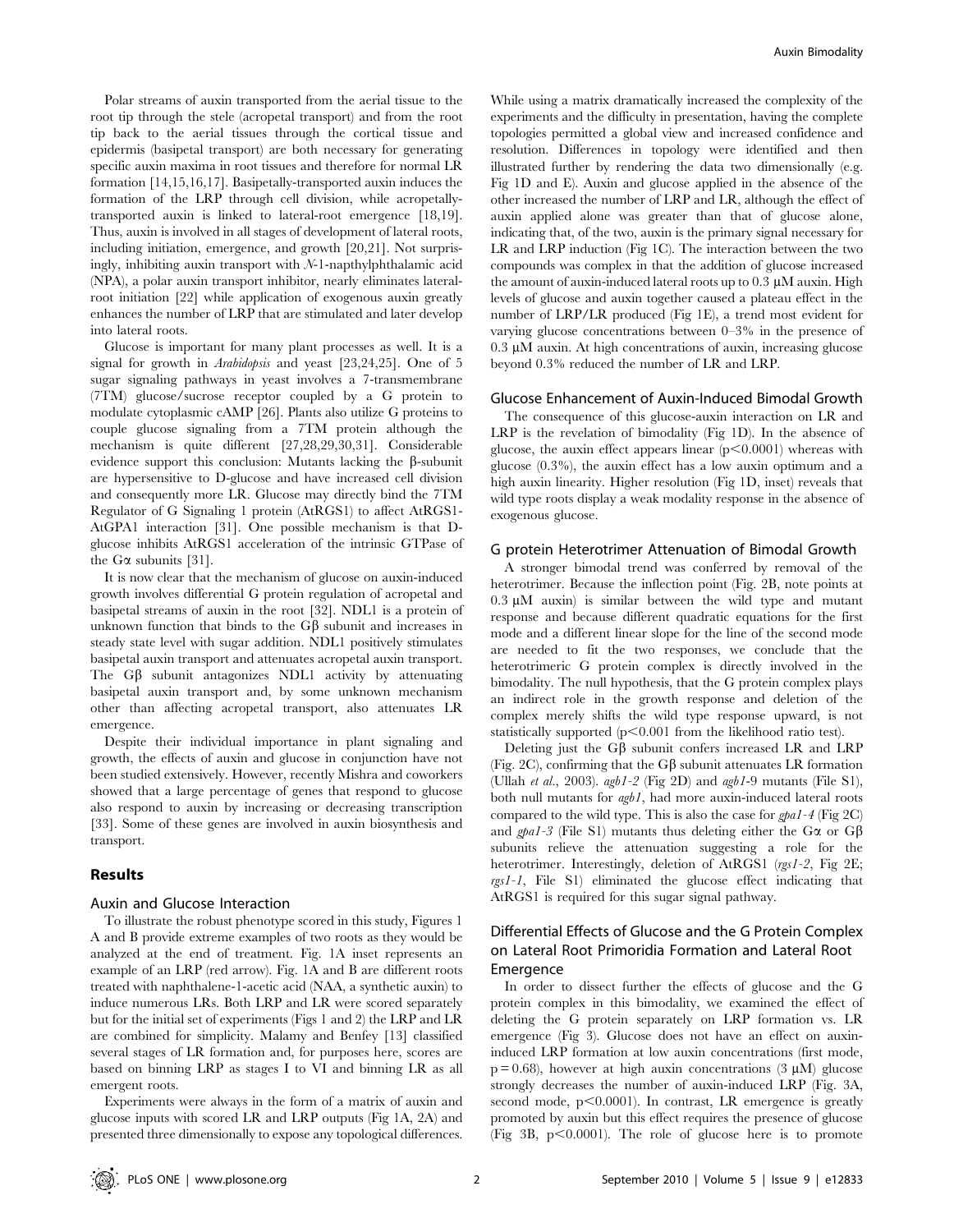Polar streams of auxin transported from the aerial tissue to the root tip through the stele (acropetal transport) and from the root tip back to the aerial tissues through the cortical tissue and epidermis (basipetal transport) are both necessary for generating specific auxin maxima in root tissues and therefore for normal LR formation [14,15,16,17]. Basipetally-transported auxin induces the formation of the LRP through cell division, while acropetallytransported auxin is linked to lateral-root emergence [18,19]. Thus, auxin is involved in all stages of development of lateral roots, including initiation, emergence, and growth [20,21]. Not surprisingly, inhibiting auxin transport with N-1-napthylphthalamic acid (NPA), a polar auxin transport inhibitor, nearly eliminates lateralroot initiation [22] while application of exogenous auxin greatly enhances the number of LRP that are stimulated and later develop into lateral roots.

Glucose is important for many plant processes as well. It is a signal for growth in Arabidopsis and yeast [23,24,25]. One of 5 sugar signaling pathways in yeast involves a 7-transmembrane (7TM) glucose/sucrose receptor coupled by a G protein to modulate cytoplasmic cAMP [26]. Plants also utilize G proteins to couple glucose signaling from a 7TM protein although the mechanism is quite different [27,28,29,30,31]. Considerable evidence support this conclusion: Mutants lacking the  $\beta$ -subunit are hypersensitive to D-glucose and have increased cell division and consequently more LR. Glucose may directly bind the 7TM Regulator of G Signaling 1 protein (AtRGS1) to affect AtRGS1- AtGPA1 interaction [31]. One possible mechanism is that Dglucose inhibits AtRGS1 acceleration of the intrinsic GTPase of the G $\alpha$  subunits [31].

It is now clear that the mechanism of glucose on auxin-induced growth involves differential G protein regulation of acropetal and basipetal streams of auxin in the root [32]. NDL1 is a protein of unknown function that binds to the  $G\beta$  subunit and increases in steady state level with sugar addition. NDL1 positively stimulates basipetal auxin transport and attenuates acropetal auxin transport. The  $G\beta$  subunit antagonizes NDL1 activity by attenuating basipetal auxin transport and, by some unknown mechanism other than affecting acropetal transport, also attenuates LR emergence.

Despite their individual importance in plant signaling and growth, the effects of auxin and glucose in conjunction have not been studied extensively. However, recently Mishra and coworkers showed that a large percentage of genes that respond to glucose also respond to auxin by increasing or decreasing transcription [33]. Some of these genes are involved in auxin biosynthesis and transport.

#### Results

#### Auxin and Glucose Interaction

To illustrate the robust phenotype scored in this study, Figures 1 A and B provide extreme examples of two roots as they would be analyzed at the end of treatment. Fig. 1A inset represents an example of an LRP (red arrow). Fig. 1A and B are different roots treated with naphthalene-1-acetic acid (NAA, a synthetic auxin) to induce numerous LRs. Both LRP and LR were scored separately but for the initial set of experiments (Figs 1 and 2) the LRP and LR are combined for simplicity. Malamy and Benfey [13] classified several stages of LR formation and, for purposes here, scores are based on binning LRP as stages I to VI and binning LR as all emergent roots.

Experiments were always in the form of a matrix of auxin and glucose inputs with scored LR and LRP outputs (Fig 1A, 2A) and presented three dimensionally to expose any topological differences.

While using a matrix dramatically increased the complexity of the experiments and the difficulty in presentation, having the complete topologies permitted a global view and increased confidence and resolution. Differences in topology were identified and then illustrated further by rendering the data two dimensionally (e.g. Fig 1D and E). Auxin and glucose applied in the absence of the other increased the number of LRP and LR, although the effect of auxin applied alone was greater than that of glucose alone, indicating that, of the two, auxin is the primary signal necessary for LR and LRP induction (Fig 1C). The interaction between the two compounds was complex in that the addition of glucose increased the amount of auxin-induced lateral roots up to  $0.3 \mu$ M auxin. High levels of glucose and auxin together caused a plateau effect in the number of LRP/LR produced (Fig 1E), a trend most evident for varying glucose concentrations between 0–3% in the presence of  $0.3 \mu M$  auxin. At high concentrations of auxin, increasing glucose beyond 0.3% reduced the number of LR and LRP.

#### Glucose Enhancement of Auxin-Induced Bimodal Growth

The consequence of this glucose-auxin interaction on LR and LRP is the revelation of bimodality (Fig 1D). In the absence of glucose, the auxin effect appears linear  $(p<0.0001)$  whereas with glucose (0.3%), the auxin effect has a low auxin optimum and a high auxin linearity. Higher resolution (Fig 1D, inset) reveals that wild type roots display a weak modality response in the absence of exogenous glucose.

## G protein Heterotrimer Attenuation of Bimodal Growth

A stronger bimodal trend was conferred by removal of the heterotrimer. Because the inflection point (Fig. 2B, note points at  $0.3 \mu M$  auxin) is similar between the wild type and mutant response and because different quadratic equations for the first mode and a different linear slope for the line of the second mode are needed to fit the two responses, we conclude that the heterotrimeric G protein complex is directly involved in the bimodality. The null hypothesis, that the G protein complex plays an indirect role in the growth response and deletion of the complex merely shifts the wild type response upward, is not statistically supported  $(p<0.001$  from the likelihood ratio test).

Deleting just the Gb subunit confers increased LR and LRP (Fig. 2C), confirming that the G $\beta$  subunit attenuates LR formation (Ullah et al., 2003). agb1-2 (Fig 2D) and agb1-9 mutants (File S1), both null mutants for  $a\ddot{g}b1$ , had more auxin-induced lateral roots compared to the wild type. This is also the case for gpa1-4 (Fig 2C) and gpa1-3 (File S1) mutants thus deleting either the G $\alpha$  or G $\beta$ subunits relieve the attenuation suggesting a role for the heterotrimer. Interestingly, deletion of AtRGS1 (rgs1-2, Fig 2E; rgs1-1, File S1) eliminated the glucose effect indicating that AtRGS1 is required for this sugar signal pathway.

# Differential Effects of Glucose and the G Protein Complex on Lateral Root Primoridia Formation and Lateral Root Emergence

In order to dissect further the effects of glucose and the G protein complex in this bimodality, we examined the effect of deleting the G protein separately on LRP formation vs. LR emergence (Fig 3). Glucose does not have an effect on auxininduced LRP formation at low auxin concentrations (first mode,  $p = 0.68$ ), however at high auxin concentrations (3  $\mu$ M) glucose strongly decreases the number of auxin-induced LRP (Fig. 3A, second mode,  $p<0.0001$ ). In contrast, LR emergence is greatly promoted by auxin but this effect requires the presence of glucose (Fig 3B,  $p<0.0001$ ). The role of glucose here is to promote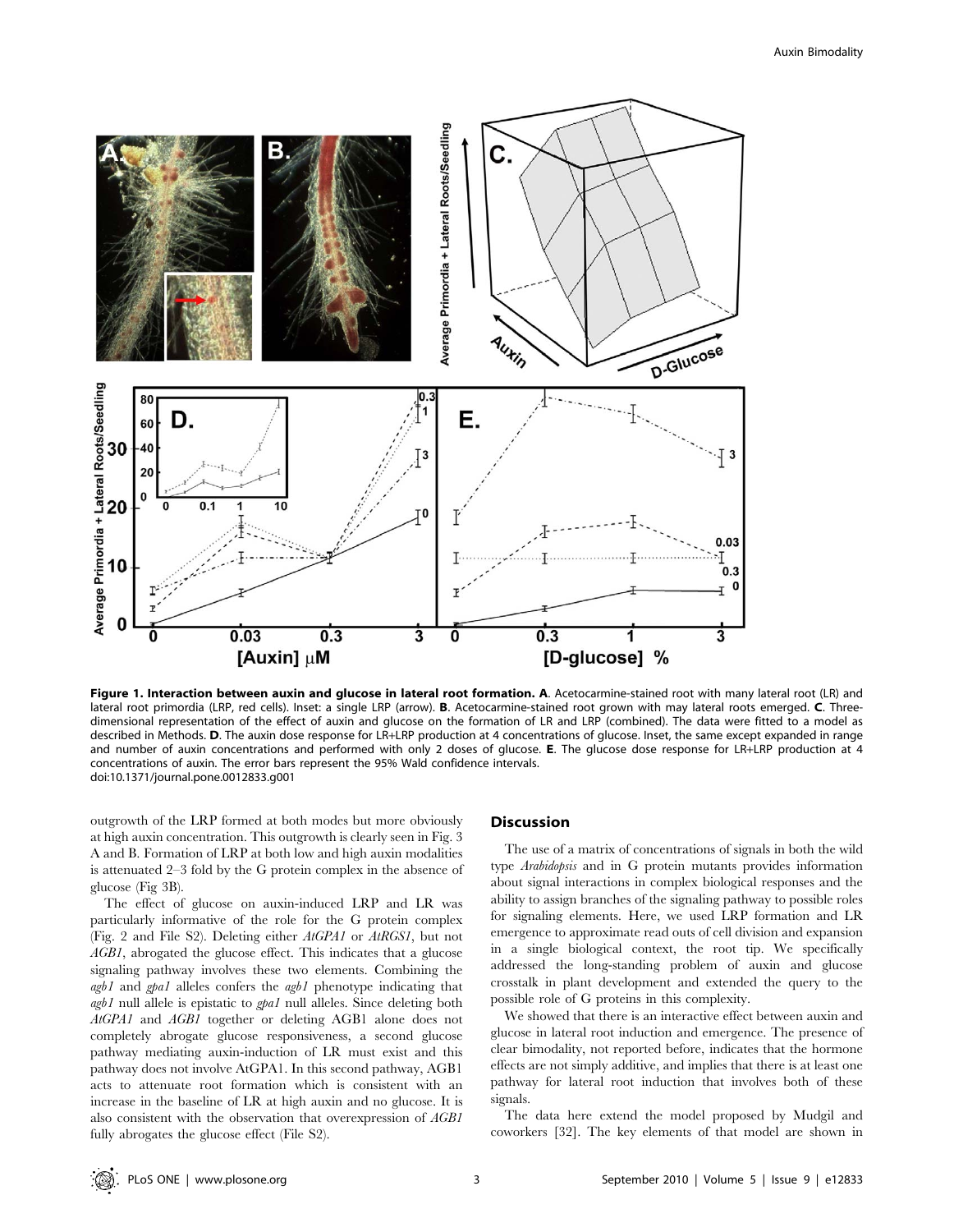

Figure 1. Interaction between auxin and glucose in lateral root formation. A. Acetocarmine-stained root with many lateral root (LR) and lateral root primordia (LRP, red cells). Inset: a single LRP (arrow). B. Acetocarmine-stained root grown with may lateral roots emerged. C. Threedimensional representation of the effect of auxin and glucose on the formation of LR and LRP (combined). The data were fitted to a model as described in Methods. D. The auxin dose response for LR+LRP production at 4 concentrations of glucose. Inset, the same except expanded in range and number of auxin concentrations and performed with only 2 doses of glucose. E. The glucose dose response for LR+LRP production at 4 concentrations of auxin. The error bars represent the 95% Wald confidence intervals. doi:10.1371/journal.pone.0012833.g001

outgrowth of the LRP formed at both modes but more obviously at high auxin concentration. This outgrowth is clearly seen in Fig. 3 A and B. Formation of LRP at both low and high auxin modalities is attenuated 2–3 fold by the G protein complex in the absence of glucose (Fig 3B).

The effect of glucose on auxin-induced LRP and LR was particularly informative of the role for the G protein complex (Fig. 2 and File S2). Deleting either AtGPA1 or AtRGS1, but not AGB1, abrogated the glucose effect. This indicates that a glucose signaling pathway involves these two elements. Combining the agb1 and gpa1 alleles confers the agb1 phenotype indicating that  $a g b1$  null allele is epistatic to  $g p a1$  null alleles. Since deleting both AtGPA1 and AGB1 together or deleting AGB1 alone does not completely abrogate glucose responsiveness, a second glucose pathway mediating auxin-induction of LR must exist and this pathway does not involve AtGPA1. In this second pathway, AGB1 acts to attenuate root formation which is consistent with an increase in the baseline of LR at high auxin and no glucose. It is also consistent with the observation that overexpression of AGB1 fully abrogates the glucose effect (File S2).

# Discussion

The use of a matrix of concentrations of signals in both the wild type Arabidopsis and in G protein mutants provides information about signal interactions in complex biological responses and the ability to assign branches of the signaling pathway to possible roles for signaling elements. Here, we used LRP formation and LR emergence to approximate read outs of cell division and expansion in a single biological context, the root tip. We specifically addressed the long-standing problem of auxin and glucose crosstalk in plant development and extended the query to the possible role of G proteins in this complexity.

We showed that there is an interactive effect between auxin and glucose in lateral root induction and emergence. The presence of clear bimodality, not reported before, indicates that the hormone effects are not simply additive, and implies that there is at least one pathway for lateral root induction that involves both of these signals.

The data here extend the model proposed by Mudgil and coworkers [32]. The key elements of that model are shown in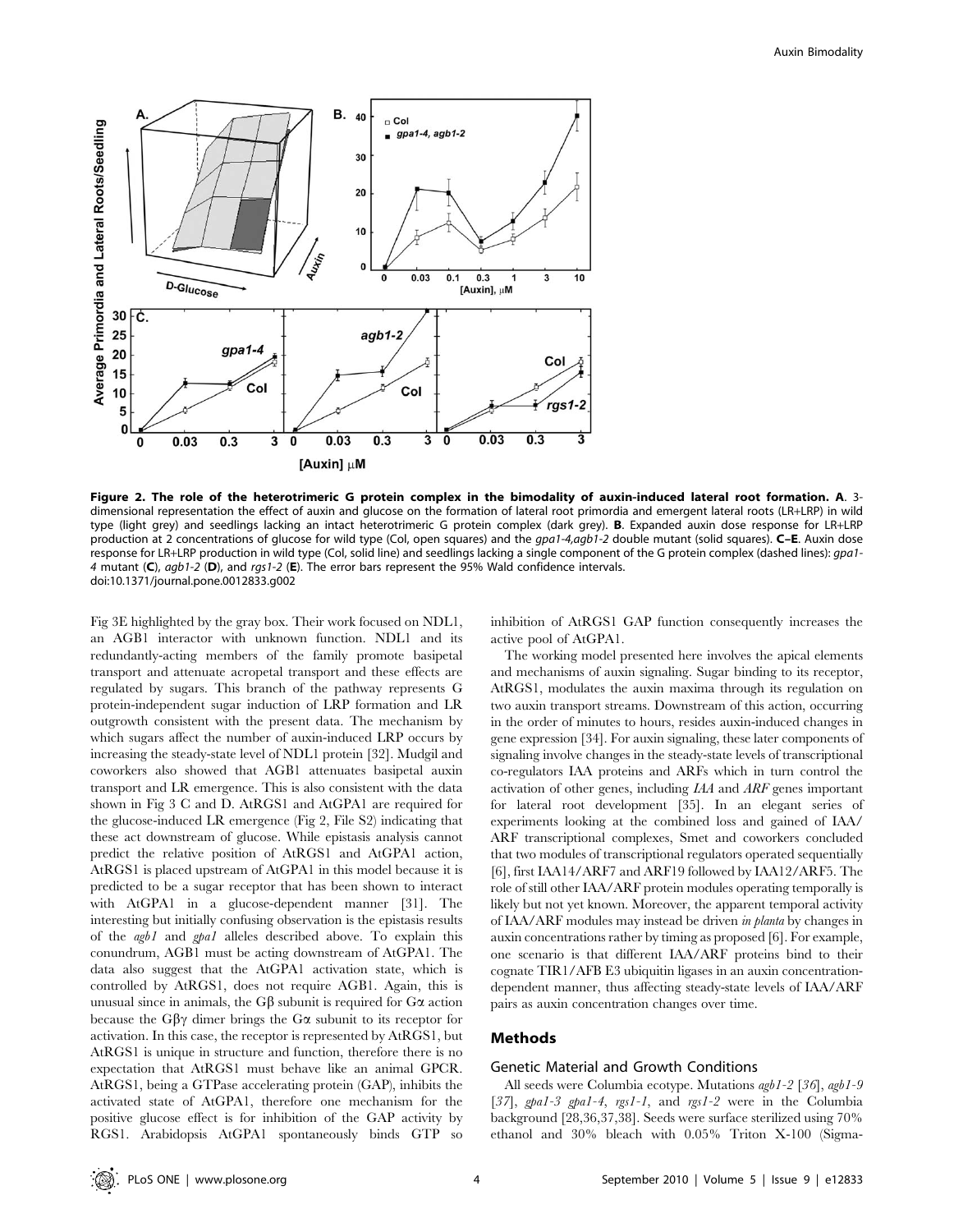

Figure 2. The role of the heterotrimeric G protein complex in the bimodality of auxin-induced lateral root formation. A. 3 dimensional representation the effect of auxin and glucose on the formation of lateral root primordia and emergent lateral roots (LR+LRP) in wild type (light grey) and seedlings lacking an intact heterotrimeric G protein complex (dark grey). B. Expanded auxin dose response for LR+LRP production at 2 concentrations of glucose for wild type (Col, open squares) and the *gpa1-4,agb1-2* double mutant (solid squares). C–E. Auxin dose response for LR+LRP production in wild type (Col, solid line) and seedlings lacking a single component of the G protein complex (dashed lines): qpa1-4 mutant (C), agb1-2 (D), and rgs1-2 (E). The error bars represent the 95% Wald confidence intervals. doi:10.1371/journal.pone.0012833.g002

Fig 3E highlighted by the gray box. Their work focused on NDL1, an AGB1 interactor with unknown function. NDL1 and its redundantly-acting members of the family promote basipetal transport and attenuate acropetal transport and these effects are regulated by sugars. This branch of the pathway represents G protein-independent sugar induction of LRP formation and LR outgrowth consistent with the present data. The mechanism by which sugars affect the number of auxin-induced LRP occurs by increasing the steady-state level of NDL1 protein [32]. Mudgil and coworkers also showed that AGB1 attenuates basipetal auxin transport and LR emergence. This is also consistent with the data shown in Fig 3 C and D. AtRGS1 and AtGPA1 are required for the glucose-induced LR emergence (Fig 2, File S2) indicating that these act downstream of glucose. While epistasis analysis cannot predict the relative position of AtRGS1 and AtGPA1 action, AtRGS1 is placed upstream of AtGPA1 in this model because it is predicted to be a sugar receptor that has been shown to interact with AtGPA1 in a glucose-dependent manner [31]. The interesting but initially confusing observation is the epistasis results of the agb1 and gpa1 alleles described above. To explain this conundrum, AGB1 must be acting downstream of AtGPA1. The data also suggest that the AtGPA1 activation state, which is controlled by AtRGS1, does not require AGB1. Again, this is unusual since in animals, the G $\beta$  subunit is required for G $\alpha$  action because the G $\beta\gamma$  dimer brings the G $\alpha$  subunit to its receptor for activation. In this case, the receptor is represented by AtRGS1, but AtRGS1 is unique in structure and function, therefore there is no expectation that AtRGS1 must behave like an animal GPCR. AtRGS1, being a GTPase accelerating protein (GAP), inhibits the activated state of AtGPA1, therefore one mechanism for the positive glucose effect is for inhibition of the GAP activity by RGS1. Arabidopsis AtGPA1 spontaneously binds GTP so inhibition of AtRGS1 GAP function consequently increases the active pool of AtGPA1.

The working model presented here involves the apical elements and mechanisms of auxin signaling. Sugar binding to its receptor, AtRGS1, modulates the auxin maxima through its regulation on two auxin transport streams. Downstream of this action, occurring in the order of minutes to hours, resides auxin-induced changes in gene expression [34]. For auxin signaling, these later components of signaling involve changes in the steady-state levels of transcriptional co-regulators IAA proteins and ARFs which in turn control the activation of other genes, including IAA and ARF genes important for lateral root development [35]. In an elegant series of experiments looking at the combined loss and gained of IAA/ ARF transcriptional complexes, Smet and coworkers concluded that two modules of transcriptional regulators operated sequentially [6], first IAA14/ARF7 and ARF19 followed by IAA12/ARF5. The role of still other IAA/ARF protein modules operating temporally is likely but not yet known. Moreover, the apparent temporal activity of IAA/ARF modules may instead be driven in planta by changes in auxin concentrations rather by timing as proposed [6]. For example, one scenario is that different IAA/ARF proteins bind to their cognate TIR1/AFB E3 ubiquitin ligases in an auxin concentrationdependent manner, thus affecting steady-state levels of IAA/ARF pairs as auxin concentration changes over time.

# Methods

#### Genetic Material and Growth Conditions

All seeds were Columbia ecotype. Mutations agb1-2 [36], agb1-9 [37], gpa1-3 gpa1-4, rgs1-1, and rgs1-2 were in the Columbia background [28,36,37,38]. Seeds were surface sterilized using 70% ethanol and 30% bleach with 0.05% Triton X-100 (Sigma-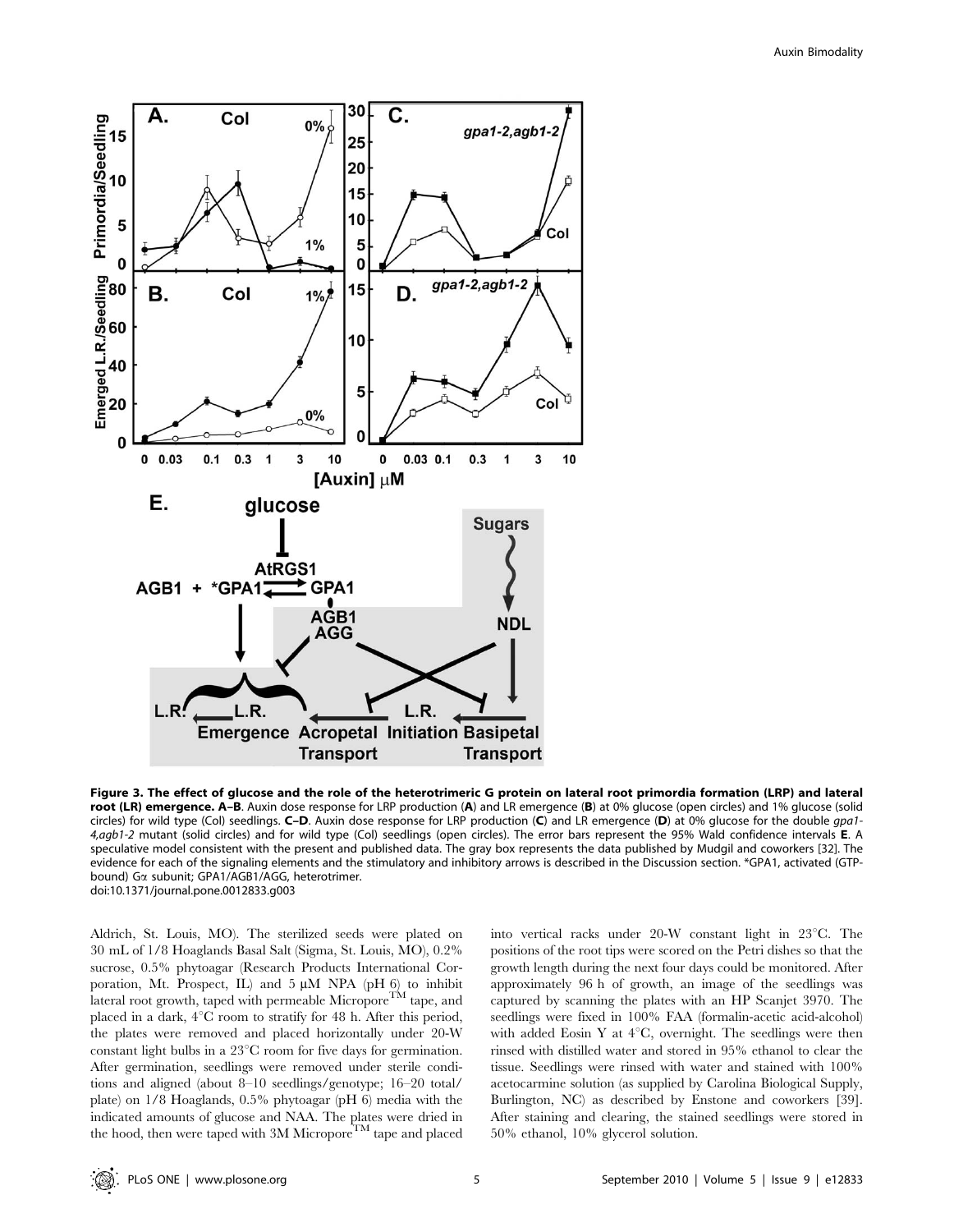

Figure 3. The effect of glucose and the role of the heterotrimeric G protein on lateral root primordia formation (LRP) and lateral root (LR) emergence. A-B. Auxin dose response for LRP production (A) and LR emergence (B) at 0% glucose (open circles) and 1% glucose (solid circles) for wild type (Col) seedlings. **C–D**. Auxin dose response for LRP production (C) and LR emergence (D) at 0% glucose for the double qpa1-4,agb1-2 mutant (solid circles) and for wild type (Col) seedlings (open circles). The error bars represent the 95% Wald confidence intervals E. A speculative model consistent with the present and published data. The gray box represents the data published by Mudgil and coworkers [32]. The evidence for each of the signaling elements and the stimulatory and inhibitory arrows is described in the Discussion section. \*GPA1, activated (GTPbound) Ga subunit; GPA1/AGB1/AGG, heterotrimer. doi:10.1371/journal.pone.0012833.g003

Aldrich, St. Louis, MO). The sterilized seeds were plated on 30 mL of 1/8 Hoaglands Basal Salt (Sigma, St. Louis, MO), 0.2% sucrose, 0.5% phytoagar (Research Products International Corporation, Mt. Prospect, IL) and  $5 \mu M$  NPA (pH 6) to inhibit lateral root growth, taped with permeable Micropore  $^{\mathrm{TM}}$  tape, and placed in a dark,  $4^{\circ}$ C room to stratify for 48 h. After this period, the plates were removed and placed horizontally under 20-W constant light bulbs in a  $23^{\circ}$ C room for five days for germination. After germination, seedlings were removed under sterile conditions and aligned (about 8–10 seedlings/genotype; 16–20 total/ plate) on 1/8 Hoaglands, 0.5% phytoagar (pH 6) media with the indicated amounts of glucose and NAA. The plates were dried in the hood, then were taped with 3M Micropore<sup>TM</sup> tape and placed into vertical racks under 20-W constant light in  $23^{\circ}$ C. The positions of the root tips were scored on the Petri dishes so that the growth length during the next four days could be monitored. After approximately 96 h of growth, an image of the seedlings was captured by scanning the plates with an HP Scanjet 3970. The seedlings were fixed in 100% FAA (formalin-acetic acid-alcohol) with added Eosin Y at  $4^{\circ}$ C, overnight. The seedlings were then rinsed with distilled water and stored in 95% ethanol to clear the tissue. Seedlings were rinsed with water and stained with 100% acetocarmine solution (as supplied by Carolina Biological Supply, Burlington, NC) as described by Enstone and coworkers [39]. After staining and clearing, the stained seedlings were stored in 50% ethanol, 10% glycerol solution.